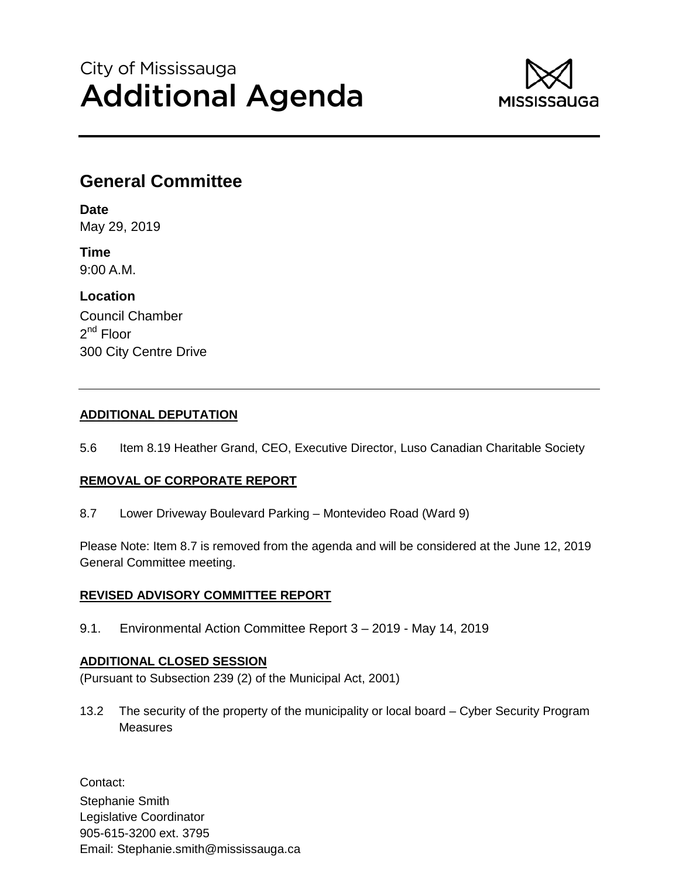# City of Mississauga Additional Agenda



# **General Committee**

**Date** May 29, 2019

**Time** 9:00 A.M.

**Location** Council Chamber 2<sup>nd</sup> Floor 300 City Centre Drive

## **ADDITIONAL DEPUTATION**

5.6 Item 8.19 Heather Grand, CEO, Executive Director, Luso Canadian Charitable Society

## **REMOVAL OF CORPORATE REPORT**

8.7 Lower Driveway Boulevard Parking – Montevideo Road (Ward 9)

Please Note: Item 8.7 is removed from the agenda and will be considered at the June 12, 2019 General Committee meeting.

## **REVISED ADVISORY COMMITTEE REPORT**

9.1. Environmental Action Committee Report 3 – 2019 - May 14, 2019

# **ADDITIONAL CLOSED SESSION**

(Pursuant to Subsection 239 (2) of the Municipal Act, 2001)

13.2 The security of the property of the municipality or local board – Cyber Security Program **Measures** 

Contact: Stephanie Smith Legislative Coordinator 905-615-3200 ext. 3795 Email: Stephanie.smith@mississauga.ca